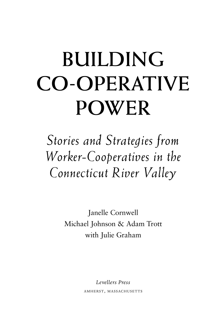# **BUILDING CO-OPERATIVE POWER**

*Stories and Strategies from Worker-Cooperatives in the Connecticut River Valley*

> Janelle Cornwell Michael Johnson & Adam Trott with Julie Graham

> > *Levellers Press* AMHERST, MASSACHUSETTS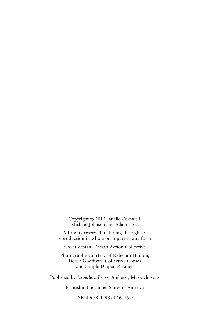Copyright © 2013 Janelle Cornwell, Michael Johnson and Adam Trott

All rights reserved including the right of reproduction in whole or in part in any form.

Cover design: Design Action Collective

Photography courtesy of Rebekah Hanlon, Derek Goodwin, Collective Copies and Simple Diaper & Linen

Published by *Levellers Press*, Amherst, Massachusetts

Printed in the United States of America

ISBN 978-1-937146-46-7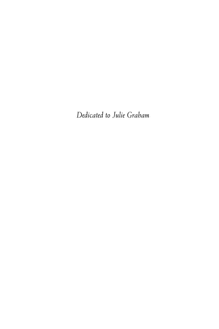*Dedicated to Julie Graham*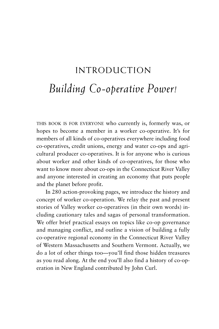## INTRODUCTION *Building Co-operative Power!*

THIS BOOK IS FOR EVERYONE who currently is, formerly was, or hopes to become a member in a worker co-operative. It's for members of all kinds of co-operatives everywhere including food co-operatives, credit unions, energy and water co-ops and agricultural producer co-operatives. It is for anyone who is curious about worker and other kinds of co-operatives, for those who want to know more about co-ops in the Connecticut River Valley and anyone interested in creating an economy that puts people and the planet before profit.

In 280 action-provoking pages, we introduce the history and concept of worker co-operation. We relay the past and present stories of Valley worker co-operatives (in their own words) including cautionary tales and sagas of personal transformation. We offer brief practical essays on topics like co-op governance and managing conflict, and outline a vision of building a fully co-operative regional economy in the Connecticut River Valley of Western Massachusetts and Southern Vermont. Actually, we do a lot of other things too—you'll find those hidden treasures as you read along. At the end you'll also find a history of co-operation in New England contributed by John Curl.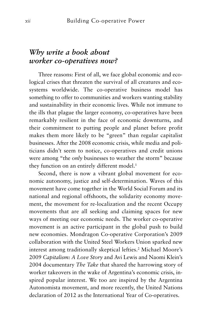### *Why write a book about worker co-operatives now?*

Three reasons: First of all, we face global economic and ecological crises that threaten the survival of all creatures and ecosystems worldwide. The co-operative business model has something to offer to communities and workers wanting stability and sustainability in their economic lives. While not immune to the ills that plague the larger economy, co-operatives have been remarkably resilient in the face of economic downturns, and their commitment to putting people and planet before profit makes them more likely to be "green" than regular capitalist businesses. After the 2008 economic crisis, while media and politicians didn't seem to notice, co-operatives and credit unions were among "the *only* businesses to weather the storm" because they function on an entirely different model.<sup>1</sup>

Second, there is now a vibrant global movement for economic autonomy, justice and self-determination. Waves of this movement have come together in the World Social Forum and its national and regional offshoots, the solidarity economy movement, the movement for re-localization and the recent Occupy movements that are all seeking and claiming spaces for new ways of meeting our economic needs. The worker co-operative movement is an active participant in the global push to build new economies. Mondragon Co-operative Corporation's 2009 collaboration with the United Steel Workers Union sparked new interest among traditionally skeptical lefties.2 Michael Moore's 2009 *Capitalism: A Love Story* and Avi Lewis and Naomi Klein's 2004 documentary *The Take* that shared the harrowing story of worker takeovers in the wake of Argentina's economic crisis, inspired popular interest. We too are inspired by the Argentina Autonomista movement, and more recently, the United Nations declaration of 2012 as the International Year of Co-operatives.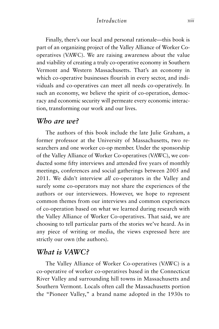Finally, there's our local and personal rationale—this book is part of an organizing project of the Valley Alliance of Worker Cooperatives (VAWC). We are raising awareness about the value and viability of creating a truly co-operative economy in Southern Vermont and Western Massachusetts. That's an economy in which co-operative businesses flourish in every sector, and individuals and co-operatives can meet all needs co-operatively. In such an economy, we believe the spirit of co-operation, democracy and economic security will permeate every economic interaction, transforming our work and our lives.

#### *Who are we?*

The authors of this book include the late Julie Graham, a former professor at the University of Massachusetts, two researchers and one worker co-op member. Under the sponsorship of the Valley Alliance of Worker Co-operatives (VAWC), we conducted some fifty interviews and attended five years of monthly meetings, conferences and social gatherings between 2005 and 2011. We didn't interview *all* co-operators in the Valley and surely some co-operators may not share the experiences of the authors or our interviewees. However, we hope to represent common themes from our interviews and common experiences of co-operation based on what we learned during research with the Valley Alliance of Worker Co-operatives. That said, we are choosing to tell particular parts of the stories we've heard. As in any piece of writing or media, the views expressed here are strictly our own (the authors).

#### *What is VAWC?*

The Valley Alliance of Worker Co-operatives (VAWC) is a co-operative of worker co-operatives based in the Connecticut River Valley and surrounding hill towns in Massachusetts and Southern Vermont. Locals often call the Massachusetts portion the "Pioneer Valley," a brand name adopted in the 1930s to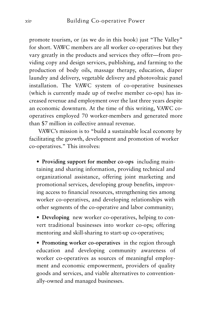promote tourism, or (as we do in this book) just "The Valley" for short. VAWC members are all worker co-operatives but they vary greatly in the products and services they offer—from providing copy and design services, publishing, and farming to the production of body oils, massage therapy, education, diaper laundry and delivery, vegetable delivery and photovoltaic panel installation. The VAWC system of co-operative businesses (which is currently made up of twelve member co-ops) has increased revenue and employment over the last three years despite an economic downturn. At the time of this writing, VAWC cooperatives employed 70 worker-members and generated more than \$7 million in collective annual revenue.

VAWC's mission is to "build a sustainable local economy by facilitating the growth, development and promotion of worker co-operatives." This involves:

• **Providing support for member co-ops** including maintaining and sharing information, providing technical and organizational assistance, offering joint marketing and promotional services, developing group benefits, improving access to financial resources, strengthening ties among worker co-operatives, and developing relationships with other segments of the co-operative and labor community;

• **Developing** new worker co-operatives, helping to convert traditional businesses into worker co-ops; offering mentoring and skill-sharing to start-up co-operatives;

• **Promoting worker co-operatives** in the region through education and developing community awareness of worker co-operatives as sources of meaningful employment and economic empowerment, providers of quality goods and services, and viable alternatives to conventionally-owned and managed businesses.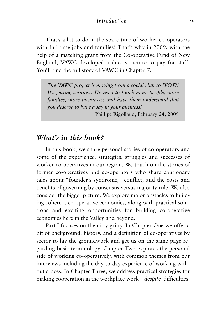#### *Introduction xv*

That's a lot to do in the spare time of worker co-operators with full-time jobs and families! That's why in 2009, with the help of a matching grant from the Co-operative Fund of New England, VAWC developed a dues structure to pay for staff. You'll find the full story of VAWC in Chapter 7.

*The VAWC project is moving from a social club to WOW! It's getting serious…We need to touch more people, more families, more businesses and have them understand that you deserve to have a say in your business!* Phillipe Rigollaud, February 24, 2009

#### *What's in this book?*

In this book, we share personal stories of co-operators and some of the experience, strategies, struggles and successes of worker co-operatives in our region. We touch on the stories of former co-operatives and co-operators who share cautionary tales about "founder's syndrome," conflict, and the costs and benefits of governing by consensus versus majority rule. We also consider the bigger picture. We explore major obstacles to building coherent co-operative economies, along with practical solutions and exciting opportunities for building co-operative economies here in the Valley and beyond.

Part I focuses on the nitty gritty. In Chapter One we offer a bit of background, history, and a definition of co-operatives by sector to lay the groundwork and get us on the same page regarding basic terminology. Chapter Two explores the personal side of working co-operatively, with common themes from our interviews including the day-to-day experience of working without a boss. In Chapter Three, we address practical strategies for making cooperation in the workplace work—*despite* difficulties.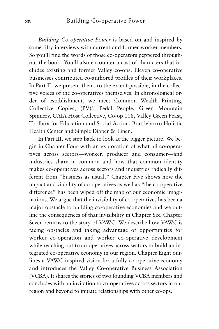*Building Co-operative Power* is based on and inspired by some fifty interviews with current and former worker-members. So you'll find the words of those co-operators peppered throughout the book. You'll also encounter a cast of characters that includes existing and former Valley co-ops. Eleven co-operative businesses contributed co-authored profiles of their workplaces. In Part II, we present them, to the extent possible, in the collective voices of the co-operatives themselves. In chronological order of establishment, we meet Common Wealth Printing, Collective Copies, (PV)<sup>2</sup>, Pedal People, Green Mountain Spinnery, GAIA Host Collective, Co-op 108, Valley Green Feast, Toolbox for Education and Social Action, Brattleborro Holistic Health Center and Simple Diaper & Linen.

In Part III, we step back to look at the bigger picture. We begin in Chapter Four with an exploration of what all co-operatives across sectors—worker, producer and consumer—and industries share in common and how that common identity makes co-operatives across sectors and industries radically different from "business as usual." Chapter Five shows how the impact and viability of co-operatives as well as "the co-operative difference" has been wiped off the map of our economic imaginations. We argue that the invisibility of co-operatives has been a major obstacle to building co-operative economies and we outline the consequences of that invisibility in Chapter Six. Chapter Seven returns to the story of VAWC. We describe how VAWC is facing obstacles and taking advantage of opportunities for worker co-operation and worker co-operative development while reaching out to co-operatives across sectors to build an integrated co-operative economy in our region. Chapter Eight outlines a VAWC-inspired vision for a fully co-operative economy and introduces the Valley Co-operative Business Association (VCBA). It shares the stories of two founding VCBA members and concludes with an invitation to co-operatives across sectors in our region and beyond to initiate relationships with other co-ops.